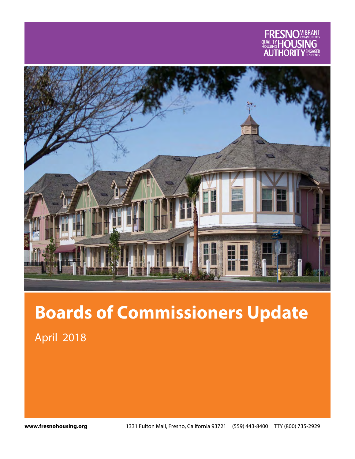



# **Boards of Commissioners Update**

April 2018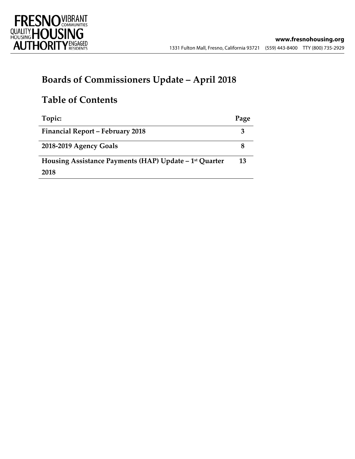

# **Boards of Commissioners Update – April 2018**

# **Table of Contents**

| Topic:                                                             | Page |
|--------------------------------------------------------------------|------|
| <b>Financial Report - February 2018</b>                            |      |
| 2018-2019 Agency Goals                                             |      |
| Housing Assistance Payments (HAP) Update - 1 <sup>st</sup> Quarter | 13   |
| 2018                                                               |      |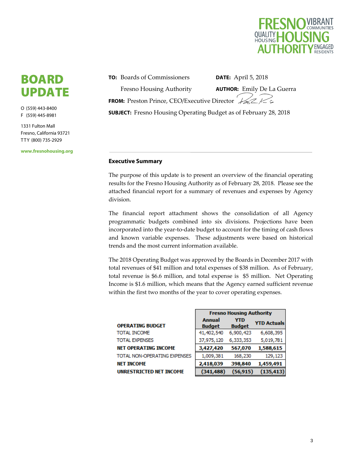

# BOARD UPDATE

O (559) 443-8400 F (559) 445-8981

1331 Fulton Mall Fresno, California 93721 T T Y (800) 735-2929

**www.fresnohousing.org** 

**TO:** Boards of Commissioners

Fresno Housing Authority **AUTHOR:** Emily De La Guerra **FROM:** Preston Prince, CEO/Executive Director ASL **SUBJECT:** Fresno Housing Operating Budget as of February 28, 2018

**DATE:** April 5, 2018

#### **Executive Summary**

The purpose of this update is to present an overview of the financial operating results for the Fresno Housing Authority as of February 28, 2018. Please see the attached financial report for a summary of revenues and expenses by Agency division.

The financial report attachment shows the consolidation of all Agency programmatic budgets combined into six divisions. Projections have been incorporated into the year-to-date budget to account for the timing of cash flows and known variable expenses. These adjustments were based on historical trends and the most current information available.

The 2018 Operating Budget was approved by the Boards in December 2017 with total revenues of \$41 million and total expenses of \$38 million. As of February, total revenue is \$6.6 million, and total expense is \$5 million. Net Operating Income is \$1.6 million, which means that the Agency earned sufficient revenue within the first two months of the year to cover operating expenses.

|                              | <b>Fresno Housing Authority</b> |                             |                    |  |  |  |  |  |  |
|------------------------------|---------------------------------|-----------------------------|--------------------|--|--|--|--|--|--|
| OPERATING BUDGET             | <b>Annual</b><br><b>Budget</b>  | <b>YTD</b><br><b>Budget</b> | <b>YTD Actuals</b> |  |  |  |  |  |  |
| TOTAL INCOME                 | 41,402,540                      | 6,900,423                   | 6,608,395          |  |  |  |  |  |  |
| TOTAL EXPENSES               | 37,975,120                      | 6,333,353                   | 5,019,781          |  |  |  |  |  |  |
| NET OPERATING INCOME         | 3,427,420                       | 567,070                     | 1,588,615          |  |  |  |  |  |  |
| TOTAL NON-OPERATING EXPENSES | 1,009,381                       | 168,230                     | 129,123            |  |  |  |  |  |  |
| NET INCOME                   | 2,418,039                       | 398,840                     | 1,459,491          |  |  |  |  |  |  |
| UNRESTRICTED NET INCOME      | (341, 488)                      | (56, 915)                   | (135, 413)         |  |  |  |  |  |  |

г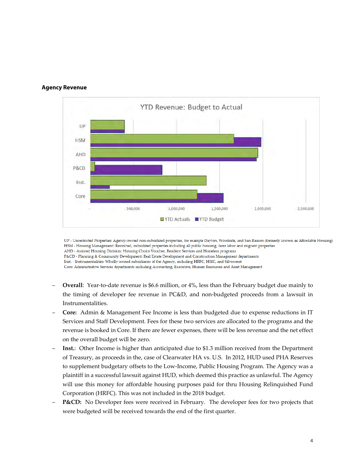

#### **Agency Revenue**

UP - Unrestricted Properties: Agency-owned non-subsidized properties, for example Dayton, Woodside, and San Ramon (formerly known as Affordable Housing) HSM - Housing Management: Restricted, subsidized properties including all public housing, farm labor and migrant properties AHD - Assisted Housing Division: Housing Choice Voucher, Resident Services and Homeless programs

P&CD - Planning & Community Development: Real Estate Development and Construction Management departments

Inst. - Instrumentalities: Wholly-owned subsidiaries of the Agency, including HRFC, HSIC, and Silvercrest

Core: Administrative Services departments including Accounting, Executive, Human Resources and Asset Management

- **Overall**: Year-to-date revenue is \$6.6 million, or 4%, less than the February budget due mainly to the timing of developer fee revenue in PC&D, and non‐budgeted proceeds from a lawsuit in Instrumentalities.
- **Core:** Admin & Management Fee Income is less than budgeted due to expense reductions in IT Services and Staff Development. Fees for these two services are allocated to the programs and the revenue is booked in Core. If there are fewer expenses, there will be less revenue and the net effect on the overall budget will be zero.
- **Inst.**: Other Income is higher than anticipated due to \$1.3 million received from the Department of Treasury, as proceeds in the, case of Clearwater HA vs. U.S. In 2012, HUD used PHA Reserves to supplement budgetary offsets to the Low‐Income, Public Housing Program. The Agency was a plaintiff in a successful lawsuit against HUD, which deemed this practice as unlawful. The Agency will use this money for affordable housing purposes paid for thru Housing Relinquished Fund Corporation (HRFC). This was not included in the 2018 budget.
- **P&CD:** No Developer fees were received in February. The developer fees for two projects that were budgeted will be received towards the end of the first quarter.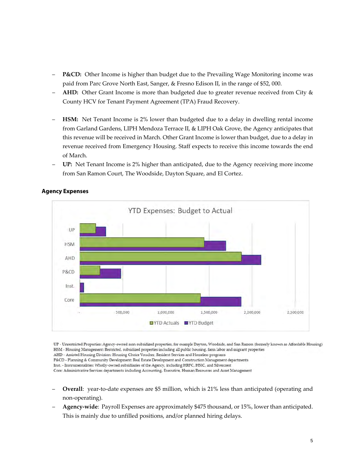- **P&CD:** Other Income is higher than budget due to the Prevailing Wage Monitoring income was paid from Parc Grove North East, Sanger, & Fresno Edison II, in the range of \$52, 000.
- **AHD:** Other Grant Income is more than budgeted due to greater revenue received from City & County HCV for Tenant Payment Agreement (TPA) Fraud Recovery.
- **HSM:** Net Tenant Income is 2% lower than budgeted due to a delay in dwelling rental income from Garland Gardens, LIPH Mendoza Terrace II, & LIPH Oak Grove, the Agency anticipates that this revenue will be received in March. Other Grant Income is lower than budget, due to a delay in revenue received from Emergency Housing. Staff expects to receive this income towards the end of March.
- **UP:** Net Tenant Income is 2% higher than anticipated, due to the Agency receiving more income from San Ramon Court, The Woodside, Dayton Square, and El Cortez.



### **Agency Expenses**

UP - Unrestricted Properties: Agency-owned non-subsidized properties, for example Dayton, Woodside, and San Ramon (formerly known as Affordable Housing) HSM - Housing Management: Restricted, subsidized properties including all public housing, farm labor and migrant properties AHD - Assisted Housing Division: Housing Choice Voucher, Resident Services and Homeless programs

P&CD - Planning & Community Development: Real Estate Development and Construction Management departments

Inst. - Instrumentalities: Wholly-owned subsidiaries of the Agency, including HRFC, HSIC, and Silvercrest

Core: Administrative Services departments including Accounting, Executive, Human Resources and Asset Management

- **Overall**: year‐to‐date expenses are \$5 million, which is 21% less than anticipated (operating and non‐operating).
- **Agency‐wide**: Payroll Expenses are approximately \$475 thousand, or 15%, lower than anticipated. This is mainly due to unfilled positions, and/or planned hiring delays.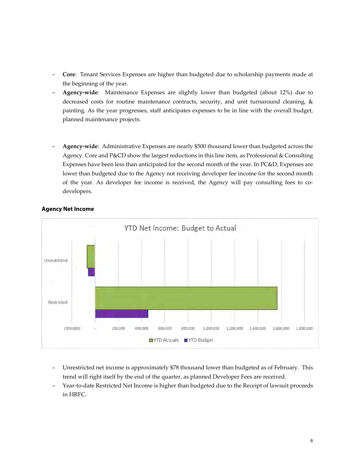- **Core**: Tenant Services Expenses are higher than budgeted due to scholarship payments made at the beginning of the year.
- **Agency‐wide**: Maintenance Expenses are slightly lower than budgeted (about 12%) due to decreased costs for routine maintenance contracts, security, and unit turnaround cleaning, & painting. As the year progresses, staff anticipates expenses to be in line with the overall budget, planned maintenance projects.
- **Agency‐wide**: Administrative Expenses are nearly \$500 thousand lower than budgeted across the Agency. Core and P&CD show the largest reductions in this line item, as Professional & Consulting Expenses have been less than anticipated for the second month of the year. In PC&D, Expenses are lower than budgeted due to the Agency not receiving developer fee income for the second month of the year. As developer fee income is received, the Agency will pay consulting fees to co‐ developers.



### **Agency Net Income**

- Unrestricted net income is approximately \$78 thousand lower than budgeted as of February. This trend will right itself by the end of the quarter, as planned Developer Fees are received.
- Year-to-date Restricted Net Income is higher than budgeted due to the Receipt of lawsuit proceeds in HRFC.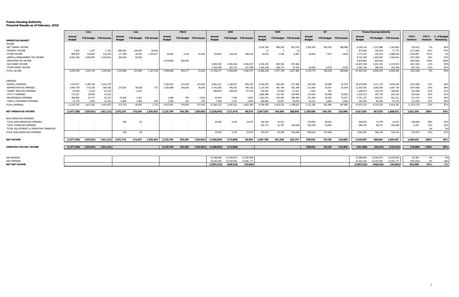#### **Fresno Housing Authority** 2 **Financial Results as of February, 2018**

|                                         |                  | Core       |                        |                  | Inst.                  |           |                  | P&CD                   |           |                  | AHD                    |            |                  | <b>HSM</b>             |           |                  | UP                     |         |                  | Fresno Housing Authority |            |                    |                   |                          |
|-----------------------------------------|------------------|------------|------------------------|------------------|------------------------|-----------|------------------|------------------------|-----------|------------------|------------------------|------------|------------------|------------------------|-----------|------------------|------------------------|---------|------------------|--------------------------|------------|--------------------|-------------------|--------------------------|
| OPERATING BUDGET                        | Annual<br>Budget |            | YTD Budget YTD Actuals | Annual<br>Budget | YTD Budget YTD Actuals |           | Annual<br>Budget | YTD Budget YTD Actuals |           | Annual<br>Budget | YTD Budget YTD Actuals |            | Annual<br>Budget | YTD Budget YTD Actuals |           | Annual<br>Budget | YTD Budget YTD Actuals |         | Annual<br>Budget | YTD Budget YTD Actuals   |            | YTD \$<br>Variance | YTD %<br>Variance | % of Budget<br>Remaining |
| <b>INCOME</b>                           |                  |            |                        |                  |                        |           |                  |                        |           |                  |                        |            |                  |                        |           |                  |                        |         |                  |                          |            |                    |                   |                          |
| NET TENANT INCOME                       |                  |            |                        |                  |                        |           |                  |                        |           |                  |                        |            | 5,935,766        | 989,294                | 952,676   | 2,300,350        | 383,392                | 389.988 | 8,236,116        | 1,372,686                | 1,342,665  | (30, 021)          | $-2%$             | 84%                      |
| <b>INTEREST INCOME</b>                  | 7.000            | 1,167      | 1,142                  | 866,667          | 144,445                | 26,618    |                  |                        |           |                  |                        |            | 17               |                        |           |                  |                        |         | 873,684          | 145,614                  | 27,772     | (117, 842)         | $-81%$            | 97%                      |
| OTHER INCOME                            | 808,000          | 134.667    | 134.425                | 177.299          | 29,550                 | 1,320,617 | 20,000           | 3,333                  | 52,450    | 710,822          | 118.470                | 168.219    | 14,014           | 2,336                  | 6.991     | 43.000           | 7,167                  | 5.626   | 1.773.135        | 295,523                  | 1.688.328  | 1,392,805          | 471%              | 5%                       |
| ADMIN & MANAGEMENT FEE INCOME           | 8,441,439        | 1,406,907  | 1,104,914              | 300.000          | 50,000                 |           |                  |                        |           |                  |                        |            |                  |                        |           |                  |                        |         | 8.741.439        | 1,456,907                | 1,104,914  | (351, 993)         | $-24%$            | 87%                      |
| DEVELOPER FEE INCOME                    |                  |            |                        |                  |                        |           | 4.979.660        | 829.943                |           |                  |                        |            |                  |                        |           |                  |                        |         | 4.979.660        | 829.943                  |            | (829.943)          | $-100%$           | 100%                     |
| HUD GRANT INCOME                        |                  |            |                        |                  |                        |           |                  |                        |           | 9.491.065        | 1.581.844              | 1.536.457  | 4,916,293        | 819,382                | 597.466   |                  |                        |         | 14,407,358       | 2,401,226                | 2,133,923  | (267, 303)         | $-11%$            | 85%                      |
| OTHER GRANT INCOME                      |                  |            |                        |                  |                        |           |                  |                        |           | 1,354,390        | 225,732                | 237,399    | 1.000.338        | 166,723                | 70,324    | 36,420           | 6,070                  | 3,070   | 2,391,148        | 398,525                  | 310,794    | (87, 731)          | $-22%$            | 87%                      |
| TOTAL INCOME                            | 9.256.439        | 1.542.740  | 1.240.48               | 1.343.966        | 223.994                | 1.347.236 | 4.999.660        | 833,277                | 52,450    | 11,556,277       | 1,926,046              | 1,942,075  | 11.866.428       | 1.977.738              | 1,627,468 | 2.379.770        | 396,628                | 398,686 | 41,402,540       | 6.900.423                | 6,608,395  | (292, 028)         | $-4%$             | 84%                      |
| EXPENSES                                |                  |            |                        |                  |                        |           |                  |                        |           |                  |                        |            |                  |                        |           |                  |                        |         |                  |                          |            |                    |                   |                          |
| PAYROLL EXPENSES                        | 7,135,977        | 1.189.330  | 1,016,579              |                  |                        |           | 1,285,953        | 214.326                | 197,893   | 6,891,221        | 1,148,537              | 963.330    | 3,026,970        | 504.495                | 417,468   | 330,528          | 55,088                 | 41,078  | 18.670.648       | 3,111,775                | 2,636,349  | (475, 426)         | $-15%$            | 86%                      |
| ADMINISTRATIVE EXPENSES                 | 3.445.759        | 574.293    | 309.430                | 237,825          | 39.638                 | 757       | 1.583.998        | 264.000                | 35.926    | 4.741.805        | 790.301                | 784.218    | 2.170.765        | 361.794                | 305,348   | 213.403          | 35,567                 | 32.054  | 12.393.555       | 2.065.593                | 1.467.734  | (597, 858)         | $-29%$            | 88%                      |
| TENANT SERVICES EXPENSES                | 50,000           | 8,333      | 20,125                 |                  | 4,167                  |           |                  |                        |           | 899.843          | 149,974                | 97,535     | 335,581          | 55,930                 | 51,421    | 5,250            | 875                    |         | 1.290.674        | 219,279                  | 169,081    | (50, 198)          | $-23%$            | 87%                      |
| UTILITY EXPENSES                        | 173,427          | 28,905     | 10,105                 |                  |                        |           |                  |                        |           |                  |                        |            | 1.882.686        | 313,781                | 239,964   | 270,410          | 45,068                 | 42,061  | 2,326,523        | 387,754                  | 292,130    | (95,624)           | $-25%$            | 87%                      |
| MAINTENANCE EXPENSES                    | 404.862          | 67.477     | 35,207                 | 25,000           | 4,167                  |           | 3.000            | 500                    | 3,429     | 44.354           | 7,392                  | 5.667      | 1,922,431        | 320,405                | 286,382   | 351.490          | 58,582                 | 70.627  | 2,751,137        | 458,523                  | 401.311    | (57, 212)          | $-12%$            | 85%                      |
| TAXES & INSURANCE EXPENSES              | 23.720           | 3.953      | 10.155                 | 8.900            | 1.483                  | 976       | 1.000            | 167                    | 293       | 7.900            | 1.317                  | 1.645      | 460.962          | 76.827                 | 38.040    | 40.101           | 6.684                  | 2.066   | 542.583          | 90.430                   | 53.176     | (37.255)           | $-41%$            | 90%                      |
| TOTAL EXPENSES                          | 11,233,745       | 1,872,291  | 1,401,602              | 271,725          | 49,454                 | 1,732     | 2,873,951        | 478,992                | 237,542   | 12,585,122       | 2,097,521              | 1,852,396  | 9,799,395        | 1,633,233              | 1,338,623 | 1,211,182        | 201,864                | 187,885 | 37,975,120       | 6,333,353                | 5,019,781  | (1, 313, 573)      | $-21%$            | 87%                      |
| NET OPERATING INCOME                    | (1.977.306)      | (329, 551) | (161, 121)             | 1,072,241        | 174.540                | 1.345.503 | 2,125,709        | 354,285                | (185,092) | (1,028,845)      | (171.474)              | 89,679     | 2,067,033        | 344.506                | 288,845   | 1,168,588        | 194,765                | 210,800 | 3,427,420        | 567,070                  | 1,588,61   | 1,021,545          | 180%              | 54%                      |
| NON-OPERATING EXPENSES                  |                  |            |                        |                  |                        |           |                  |                        |           |                  |                        |            |                  |                        |           |                  |                        |         |                  |                          |            |                    |                   |                          |
| TOTAL NON-OPERATING EXPENSES            |                  |            |                        | 500              | -83                    |           |                  |                        |           | 20,000           | 3,333                  | 23,075     | 128,526          | 21,421                 |           | 279.850          | 46,642                 |         | 428.876          | 71.479                   | 23,075     | (48, 404)          | $-68%$            | 95%                      |
| TOTAL FINANCING EXPENSES                |                  |            |                        |                  |                        |           |                  |                        |           |                  |                        |            | 250,721          | 41,787                 | 106,048   | 329.784          | 54,964                 |         | 580.505          | 96.751                   | 106.048    | 9.297              | 10%               | 82%                      |
| TOTAL ADJUSTMENTS & OPERATING TRANSFERS |                  |            |                        |                  |                        |           |                  |                        |           |                  |                        |            |                  |                        |           |                  |                        |         |                  |                          |            |                    | 0%                | 0%                       |
| TOTAL NON-OPERATING EXPENSES            |                  |            |                        | 500              | 83                     |           |                  |                        |           | 20,000           | 3,333                  | 23,075     | 379,247          | 63,208                 | 106,048   | 609.634          | 101,606                |         | 1.009.381        | 168,230                  | 129,123    | (39, 107)          | $-23%$            | 87%                      |
| NET INCOME                              | (1.977.306)      | (329.551)  | (161.121               | 1.071.741        | 174.457                | 1.345.503 | 2,125,709        | 354,285                | (185.092) | (1.048.845)      | (174.808)              | 66.604     | 1.687.786        | 281,298                | 182.797   | 558.954          | 93.159                 | 210,800 | 2.418.039        | 398,840                  | 1.459.491  | 1.060.652          | 266%              | 40%                      |
| UNRESTRICTED NET INCOME                 | (1.977.306)      | (329, 551) | (161, 121)             |                  |                        |           | 2.125.709        | 354,285                | (185,092) | (1,048,845)      | (174.808)              |            |                  |                        |           | 558,954          | 93,159                 | 210,800 | (341, 488)       | (56, 915)                | (135, 413) | (78, 498)          | $-138%$           | 60%                      |
|                                         |                  |            |                        |                  |                        |           |                  |                        |           |                  |                        |            |                  |                        |           |                  |                        |         |                  |                          |            |                    |                   |                          |
| <b>HAP REVENUE</b>                      |                  |            |                        |                  |                        |           |                  |                        |           | 75.268.040       | 12.544.673             | 12.635.956 |                  |                        |           |                  |                        |         | 75.268.040       | 12.544.673               | 12.635.956 | 91.283             | 0%                | 0%                       |

|                                                          |                                                   | 75,268,040  12,544,673  12,635,956  91,283 |  |
|----------------------------------------------------------|---------------------------------------------------|--------------------------------------------|--|
| 79,161,550  13,193,592  12,691,777<br>HAP EXPENSES       |                                                   |                                            |  |
| NET HAP INCOME<br>$(3,893,510)$ $(648,918)$<br>. (55.82u | $(3,893,510)$ $(648,918)$ $(55,820)$ 593,098 -91% |                                            |  |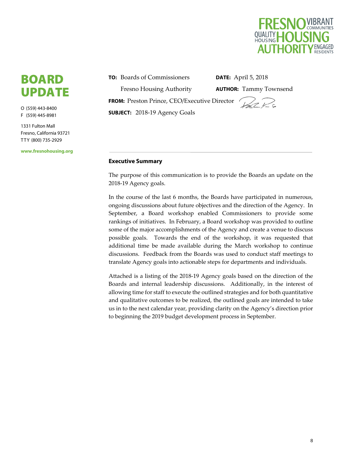

# BOARD UPDATE

O (559) 443-8400 F (559) 445-8981

1331 Fulton Mall Fresno, California 93721 T T Y (800) 735-2929

**www.fresnohousing.org** 

**TO:** Boards of Commissioners Fresno Housing Authority **FROM:** Preston Prince, CEO/Executive Director **SUBJECT:** 2018‐19 Agency Goals

**DATE:** April 5, 2018

**AUTHOR:** Tammy Townsend

### **Executive Summary**

The purpose of this communication is to provide the Boards an update on the 2018‐19 Agency goals.

In the course of the last 6 months, the Boards have participated in numerous, ongoing discussions about future objectives and the direction of the Agency. In September, a Board workshop enabled Commissioners to provide some rankings of initiatives. In February, a Board workshop was provided to outline some of the major accomplishments of the Agency and create a venue to discuss possible goals. Towards the end of the workshop, it was requested that additional time be made available during the March workshop to continue discussions. Feedback from the Boards was used to conduct staff meetings to translate Agency goals into actionable steps for departments and individuals.

Attached is a listing of the 2018‐19 Agency goals based on the direction of the Boards and internal leadership discussions. Additionally, in the interest of allowing time for staff to execute the outlined strategies and for both quantitative and qualitative outcomes to be realized, the outlined goals are intended to take us in to the next calendar year, providing clarity on the Agency's direction prior to beginning the 2019 budget development process in September.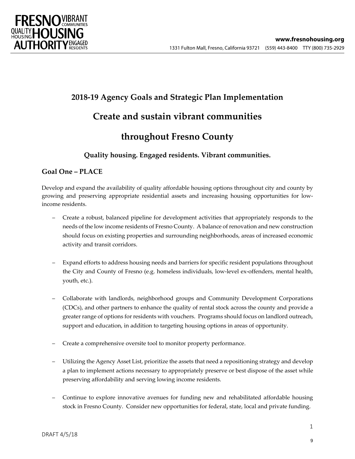

# **2018‐19 Agency Goals and Strategic Plan Implementation Create and sustain vibrant communities throughout Fresno County**

# **Quality housing. Engaged residents. Vibrant communities.**

# **Goal One – PLACE**

Develop and expand the availability of quality affordable housing options throughout city and county by growing and preserving appropriate residential assets and increasing housing opportunities for lowincome residents.

- Create a robust, balanced pipeline for development activities that appropriately responds to the needs of the low income residents of Fresno County. A balance ofrenovation and new construction should focus on existing properties and surrounding neighborhoods, areas of increased economic activity and transit corridors.
- Expand efforts to address housing needs and barriers for specific resident populations throughout the City and County of Fresno (e.g. homeless individuals, low-level ex-offenders, mental health, youth, etc.).
- Collaborate with landlords, neighborhood groups and Community Development Corporations (CDCs), and other partners to enhance the quality of rental stock across the county and provide a greater range of options for residents with vouchers. Programs should focus on landlord outreach, support and education, in addition to targeting housing options in areas of opportunity.
- Create a comprehensive oversite tool to monitor property performance.
- Utilizing the Agency Asset List, prioritize the assets that need a repositioning strategy and develop a plan to implement actions necessary to appropriately preserve or best dispose of the asset while preserving affordability and serving lowing income residents.
- Continue to explore innovative avenues for funding new and rehabilitated affordable housing stock in Fresno County. Consider new opportunities for federal, state, local and private funding.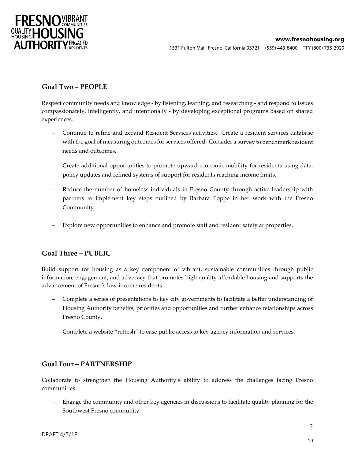

# **Goal Two – PEOPLE**

Respect community needs and knowledge ‐ by listening, learning, and researching ‐ and respond to issues compassionately, intelligently, and intentionally ‐ by developing exceptional programs based on shared experiences.

- Continue to refine and expand Resident Services activities. Create a resident services database with the goal of measuring outcomes for services offered. Consider a survey to benchmark resident needs and outcomes.
- Create additional opportunities to promote upward economic mobility for residents using data, policy updates and refined systems of support for residents reaching income limits.
- Reduce the number of homeless individuals in Fresno County through active leadership with partners to implement key steps outlined by Barbara Poppe in her work with the Fresno Community.
- Explore new opportunities to enhance and promote staff and resident safety at properties.

## **Goal Three – PUBLIC**

Build support for housing as a key component of vibrant, sustainable communities through public information, engagement, and advocacy that promotes high quality affordable housing and supports the advancement of Fresno's low‐income residents.

- Complete a series of presentations to key city governments to facilitate a better understanding of Housing Authority benefits, priorities and opportunities and further enhance relationships across Fresno County.
- Complete a website "refresh" to ease public access to key agency information and services.

## **Goal Four – PARTNERSHIP**

Collaborate to strengthen the Housing Authority's ability to address the challenges facing Fresno communities.

– Engage the community and other key agencies in discussions to facilitate quality planning for the Southwest Fresno community.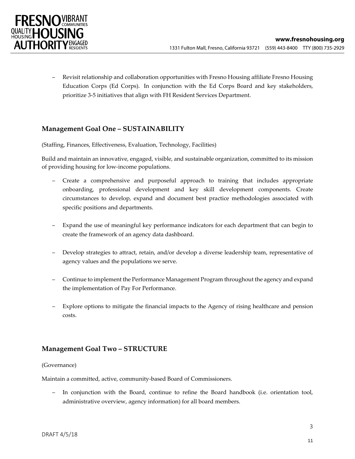

– Revisit relationship and collaboration opportunities with Fresno Housing affiliate Fresno Housing Education Corps (Ed Corps). In conjunction with the Ed Corps Board and key stakeholders, prioritize 3‐5 initiatives that align with FH Resident Services Department.

# **Management Goal One – SUSTAINABILITY**

(Staffing, Finances, Effectiveness, Evaluation, Technology, Facilities)

Build and maintain an innovative, engaged, visible, and sustainable organization, committed to its mission of providing housing for low‐income populations.

- Create a comprehensive and purposeful approach to training that includes appropriate onboarding, professional development and key skill development components. Create circumstances to develop, expand and document best practice methodologies associated with specific positions and departments.
- Expand the use of meaningful key performance indicators for each department that can begin to create the framework of an agency data dashboard.
- Develop strategies to attract, retain, and/or develop a diverse leadership team, representative of agency values and the populations we serve.
- Continue to implement the Performance Management Program throughout the agency and expand the implementation of Pay For Performance.
- Explore options to mitigate the financial impacts to the Agency of rising healthcare and pension costs.

## **Management Goal Two – STRUCTURE**

### (Governance)

Maintain a committed, active, community‐based Board of Commissioners.

In conjunction with the Board, continue to refine the Board handbook (i.e. orientation tool, administrative overview, agency information) for all board members.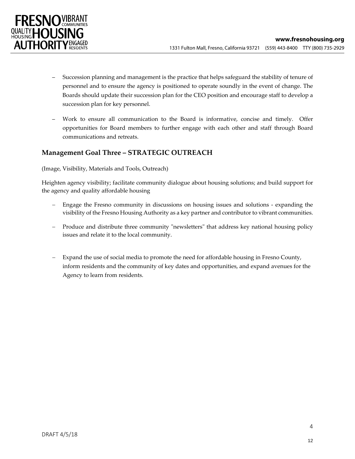

- Succession planning and management is the practice that helps safeguard the stability of tenure of personnel and to ensure the agency is positioned to operate soundly in the event of change. The Boards should update their succession plan for the CEO position and encourage staff to develop a succession plan for key personnel.
- Work to ensure all communication to the Board is informative, concise and timely. Offer opportunities for Board members to further engage with each other and staff through Board communications and retreats.

# **Management Goal Three – STRATEGIC OUTREACH**

### (Image, Visibility, Materials and Tools, Outreach)

Heighten agency visibility; facilitate community dialogue about housing solutions; and build support for the agency and quality affordable housing

- Engage the Fresno community in discussions on housing issues and solutions ‐ expanding the visibility of the Fresno Housing Authority as a key partner and contributor to vibrant communities.
- Produce and distribute three community "newsletters" that address key national housing policy issues and relate it to the local community.
- Expand the use of social media to promote the need for affordable housing in Fresno County, inform residents and the community of key dates and opportunities, and expand avenues for the Agency to learn from residents.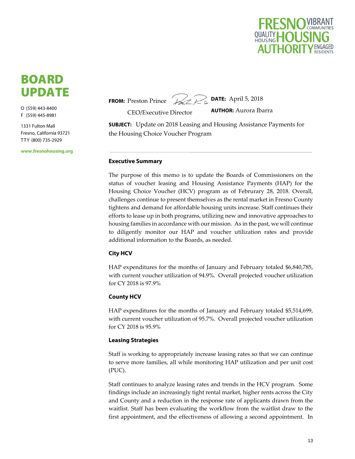

# BOARD UPDATE

O (559) 443-8400 F (559) 445-8981

1331 Fulton Mall Fresno, California 93721 T T Y (800) 735-2929

**www.fresnohousing.org** 

**FROM:** Preston Prince



CEO/Executive Director

**AUTHOR:** Aurora Ibarra

**SUBJECT:** Update on 2018 Leasing and Housing Assistance Payments for the Housing Choice Voucher Program

#### **Executive Summary**

The purpose of this memo is to update the Boards of Commissioners on the status of voucher leasing and Housing Assistance Payments (HAP) for the Housing Choice Voucher (HCV) program as of Februrary 28, 2018. Overall, challenges continue to present themselves as the rental market in Fresno County tightens and demand for affordable housing units increase. Staff continues their efforts to lease up in both programs, utilizing new and innovative approaches to housing families in accordance with our mission. As in the past, we will continue to diligently monitor our HAP and voucher utilization rates and provide additional information to the Boards, as needed.

### **City HCV**

HAP expenditures for the months of January and February totaled \$6,840,785, with current voucher utilization of 94.9%. Overall projected voucher utilization for CY 2018 is 97.9%

### **County HCV**

HAP expenditures for the months of January and February totaled \$5,514,699, with current voucher utilization of 95.7%. Overall projected voucher utilization for CY 2018 is 95.9%

### **Leasing Strategies**

Staff is working to appropriately increase leasing rates so that we can continue to serve more families, all while monitoring HAP utilization and per unit cost (PUC).

Staff continues to analyze leasing rates and trends in the HCV program. Some findings include an increasingly tight rental market, higher rents across the City and County and a reduction in the response rate of applicants drawn from the waitlist. Staff has been evaluating the workflow from the waitlist draw to the first appointment, and the effectiveness of allowing a second appointment. In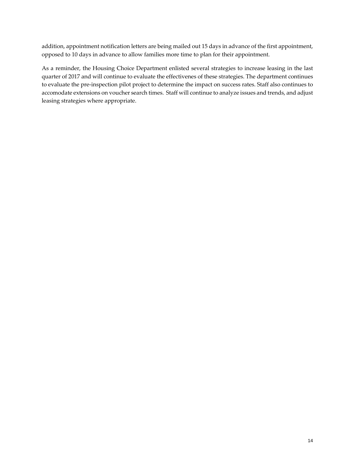addition, appointment notification letters are being mailed out 15 days in advance of the first appointment, opposed to 10 days in advance to allow families more time to plan for their appointment.

As a reminder, the Housing Choice Department enlisted several strategies to increase leasing in the last quarter of 2017 and will continue to evaluate the effectivenes of these strategies. The department continues to evaluate the pre‐inspection pilot project to determine the impact on success rates. Staff also continues to accomodate extensions on voucher search times. Staff will continue to analyze issues and trends, and adjust leasing strategies where appropriate.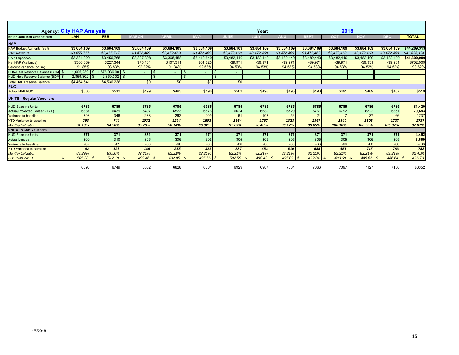|                                      | <b>Agency: City HAP Analysis</b> |                |             |             |             |                                | Year:       |             |             | 2018           |             |             |              |  |
|--------------------------------------|----------------------------------|----------------|-------------|-------------|-------------|--------------------------------|-------------|-------------|-------------|----------------|-------------|-------------|--------------|--|
| <b>Enter Data into Green fields</b>  | <b>JAN</b>                       | <b>FEB</b>     | MARCH       | APRIL       |             |                                | JULY        | AUG         | <b>SEP</b>  | $\overline{1}$ | лол         | DEC         | <b>TOTAL</b> |  |
| <b>HAP</b>                           |                                  |                |             |             |             |                                |             |             |             |                |             |             |              |  |
| HAP Budget Authority (98%)           | \$3,684,109                      | \$3,684,109    | \$3,684,109 | \$3,684,109 | \$3,684,109 | \$3,684,109                    | \$3,684,109 | \$3,684,109 | \$3,684,109 | \$3,684,109    | \$3,684,109 | \$3,684,109 | \$44,209,313 |  |
| <b>HAP Revenue</b>                   | \$3,455,717                      | \$3,455,717    | \$3,472,469 | \$3,472,469 | \$3,472,469 | \$3,472,469                    | \$3,472,469 | \$3,472,469 | \$3,472,469 | \$3,472,469    | \$3,472,469 | \$3,472,469 | \$41,636,124 |  |
| <b>HAP Expenses</b>                  | \$3,384,020                      | \$3,456,765    | \$3,397,308 | \$3,365,158 | \$3,410,649 | \$3,482,440                    | \$3,482,440 | \$3,482,440 | \$3,482,440 | \$3,482,440    | \$3,482,400 | \$3,482,400 | \$41,390,900 |  |
| Net HAP (Variance)                   | \$300.089                        | \$227,344      | \$75,161    | \$107.311   | \$61,820    | $-$9.971$                      | $-$9.971$   | $-$9.971$   | $-$9.971$   | $-$9.971$      | $-$9.931$   | $-$9.931$   | \$702,009    |  |
| <b>Percent Variance (of BA)</b>      | 91.85%                           | 93.83%         | 92.22%      | 91.34%      | 92.58%      | 94.53%                         | 94.53%      | 94.53%      | 94.53%      | 94.53%         | 94.52%      | 94.52%      | 93.62%       |  |
| PHA-Held Reserve Balance (BOM        | 1.605.239                        | .676.936.00 \$ |             |             |             | \$<br>$\overline{\phantom{a}}$ |             |             |             |                |             |             |              |  |
| <b>HUD-Held Reserve Balance (BOM</b> | 2,859,302                        | 2,859,302      | $\sim$      |             | $\sim$      | $\overline{\phantom{0}}$       |             |             |             |                |             |             |              |  |
| <b>Total HAP Reserve Balance</b>     | \$4,464,541                      | \$4,536,238    | \$0         | \$0         | \$0         | \$0                            |             |             |             |                |             |             |              |  |
|                                      | <b>PUC</b>                       |                |             |             |             |                                |             |             |             |                |             |             |              |  |
| <b>Actual HAP PUC</b>                | \$505                            | \$512          | \$499       | \$493       | \$496       | \$503                          | \$498       | \$495       | \$493       | \$491          | \$489       | \$487       | \$519        |  |
| <b>UNITS - Regular Vouchers</b>      |                                  |                |             |             |             |                                |             |             |             |                |             |             |              |  |
| <b>HUD Baseline Units</b>            | 6785                             | 6785           | 6785        | 6785        | 6785        | 6785                           | 6785        | 6785        | 6785        | 6785           | 6785        | 6785        | 81,420       |  |
| Actual/Projected Leased (TYT)        | 6387                             | 6439           | 6497        | 6523        | 6576        | 6624                           | 6682        | 6729        | 6761        | 6792           | 6822        | 6851        | 79,683       |  |
| Variance to baseline                 | $-398$                           | $-346$         | $-288$      | $-262$      | $-209$      | $-161$                         | $-103$      | $-56$       | $-24$       |                | 37          | 66          | $-1737$      |  |
| <b>YTD Variance to baseline</b>      | $-398$                           | $-744$         | $-1032$     | $-1294$     | $-1503$     | $-1664$                        | $-1767$     | $-1823$     | $-1847$     | $-1840$        | $-1803$     | $-1737$     | $-1737$      |  |
| <b>Monthly Utilization</b>           | 94.13%                           | 94.90%         | 95.76%      | 96.14%      | 96.92%      | 97.63%                         | 98.48%      | 99.17%      | 99.65%      | 100.10%        | 100.55%     | 100.97%     | 97.87%       |  |
| <b>UNITS - VASH Vouchers</b>         |                                  |                |             |             |             |                                |             |             |             |                |             |             |              |  |
| <b>HUD Baseline Units</b>            | 371                              | 371            | 371         | 371         | 371         | 371                            | 371         | 371         | 371         | 371            | 371         | 371         | 4,452        |  |
| <b>Actual Leased</b>                 | 309                              | 310            | 305         | 305         | 305         | 305                            | 305         | 305         | 305         | 305            | 305         | 305         | 3,669        |  |
| Variance to baseline                 | $-62$                            | $-61$          | $-66$       | $-66$       | $-66$       | $-66$                          | $-66$       | $-66$       | $-66$       | $-66$          | $-66$       | $-66$       | $-783$       |  |
| <b>YTD Variance to baseline</b>      | $-62$                            | $-123$         | $-189$      | $-255$      | $-321$      | $-387$                         | $-453$      | $-519$      | $-585$      | $-651$         | $-717$      | $-783$      | $-783$       |  |
| <b>Monthly Utilization</b>           | 83.29%                           | 83.56%         | 82.21%      | 82.21%      | 82.21%      | 82.21%                         | 82.21%      | 82.21%      | 82.21%      | 82.21%         | 82.21%      | 82.21%      | 82.41%       |  |
| <b>PUC With VASH</b>                 | 505.38<br>S.                     | 512.19<br>- \$ | $499.46$ \$ | 492.85      | 495.66      | 502.59<br>- \$                 | 498.42      | 495.09      | 492.84      | 490.69<br>l \$ | 488.62      | 486.64 \$   | 496.70       |  |
|                                      | 6696                             | 6749           | 6802        | 6828        | 6881        | 6929                           | 6987        | 7034        | 7066        | 7097           | 7127        | 7156        | 83352        |  |